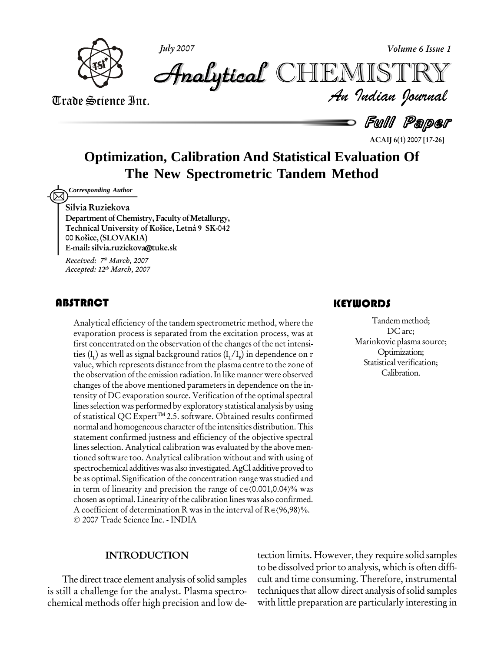



Trade Science Inc. Trade Science Inc.

 *Indian Journal* **Analytical** CHEMIS"

**-** Full Paper

**ACAIJ 6(1) 2007 [17-26]**

## **Optimization, Calibration And Statistical Evaluation Of The New Spectrometric Tandem Method**

*Corresponding Author*

**Silvia Ruziekova**

**Department** of Chemistry, Faculty of Metallurgy, **Technical University of Koöice, Letn· 9 SK-042 00 Koöice, (SLOVAKIA) E-mail:[silvia.ruzickova@tuke.sk](mailto:silvia.ruzickova@tuke.sk)**

**Received: 7 th March, 2007 Accepted: 12 th March, 2007**

## **ABSTRACT**

Analytical efficiency of<br>evaporation process is<br>first concentrated on the Analytical efficiency of the tandem spectrometric method, where the evaporation process is separated from the excitation process, was at first concentrated on the observation of the changes of the net intensi ties (I<sub>1</sub>) as well as signal background ratios (I<sub>1</sub>/I<sub>B</sub>) in dependence on r value, which represents distance from the plasma centre to the zone of the observation of the emission radiation. In like manner were observed changes of the above mentioned parameters in dependence on the in tensity of DC evaporation source. Verification of the optimal spectral lines selection was performed by exploratory statistical analysis by using of statistical QC Expert<sup>™</sup>2.5. software. Obtained results confirmed normal and homogeneous character ofthe intensities distribution.This statement confirmed justness and efficiency of the objective spectral lines selection. Analytical calibration was evaluated by the above men tioned software too. Analytical calibration without and with using of spectrochemical additives was also investigated. AgCl additive proved to<br>be as optimal. Signification of the concentration range was studied and<br>in term of linearity and precision the range of c = (0.001,0.04)% was be as optimal. Signification of the concentration range was studied and chosen as optimal. Linearity of the calibration lines was also confirmed. in term of linearity and precision the range of  $c \in (0.001, 0.04)\%$  was chosen as optimal. Linearity of the calibration lines was also confirmed.<br>A coefficient of determination R was in the interval of R $\in (96, 98)\%$ . 2007 Trade Science Inc. - INDIA

## **KEYWORDS**

Tandem method;<br>DC arc;<br>Marinkovic plasma source; Tandemmethod; DC arc; Optimization; Statistical verification; Calibration.

### **INTRODUCTION**

The direct trace element analysis of solid samples is still a challenge for the analyst. Plasma spectro chemical methods offer high precision and low detection limits. However, they require solid samples to be dissolved prior to analysis, which is often difficult and time consuming. Therefore, instrumental techniques that allow direct analysis of solid samples with little preparation are particularly interesting in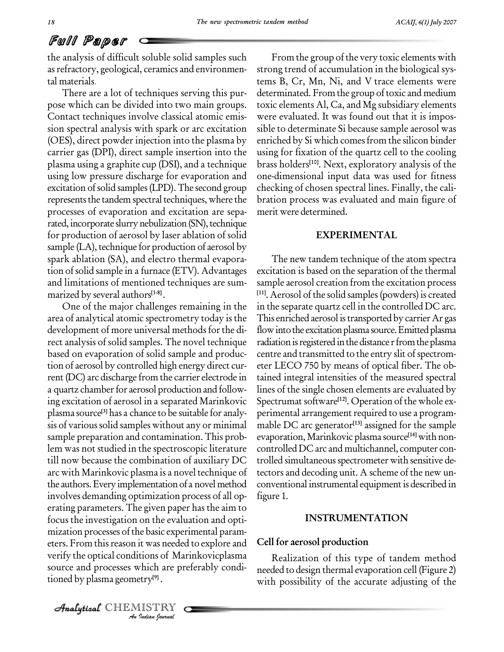# Full Paper

the analysis of difficult soluble solid samples such as refractory, geological, ceramics and environmental materials.

There are a lot of techniques serving this pur pose which can be divided into two main groups. Contact techniques involve classical atomic emis sion spectral analysis with spark or arc excitation (OES), direct powder injection into the plasma by carrier gas (DPI), direct sample insertion into the plasma using a graphite cup (DSI), and a technique using low pressure discharge for evaporation and excitation of solid samples (LPD). The second group represents the tandem spectral techniques, where the processes of evaporation and excitation are sepa rated, incorporate slurry nebulization (SN), technique for production of aerosol by laser ablation of solid sample (LA), technique for production of aerosol by spark ablation (SA), and electro thermal evapora tion of solid sample in a furnace (ETV). Advantages and limitations of mentioned techniques are sum marized by several authors **[1-8]** .

eters. From this reason it was needed to explore and **Cell to** *I*t was needed<br>*I*ons of Marchich are protected<br>*ISTRY*<br>*Indian Journal* verify the optical conditions of Marinkovicplasma One of the major challenges remaining in the area of analytical atomic spectrometry today is the development of more universal methods forthe di rect analysis of solid samples. The novel technique based on evaporation of solid sample and produc tion of aerosol by controlled high energy direct cur rent(DC) arc discharge from the carrier electrode in a quartz chamber for aerosol production and following excitation of aerosol in a separated Marinkovic plasma source **[3]** has a chance to be suitable for analy sis of various solid samples without any or minimal sample preparation and contamination. This prob lem was not studied in the spectroscopic literature till now because the combination of auxiliary DC arc with Marinkovic plasma is a novel technique of the authors. Every implementation of a novel method involves demanding optimization process of all op erating parameters. The given paper has the aim to focus the investigation on the evaluation and opti mization processes of the basic experimental paramsource and processes which are preferably condi tioned by plasma geometry **[9]** .

From the group of the very toxic elements with strong trend of accumulation in the biological sys tems B, Cr, Mn, Ni, and V trace elements were determinated. From the group of toxic and medium toxic elements Al, Ca, and Mg subsidiary elements were evaluated. It was found out that it is impos sible to determinate Si because sample aerosol was enriched by Si which comes from the silicon binder using for fixation of the quartz cell to the cooling brass holders **[10]**. Next, exploratory analysis of the one-dimensional input data was used for fitness checking of chosen spectral lines. Finally, the calibration process was evaluated and main figure of merit were determined.

### **EXPERIMENTAL**

The new tandem technique of the atom spectra excitation is based on the separation of the thermal sample aerosol creation from the excitation process **[11]**. Aerosol of the solid samples(powders) is created in the separate quartz cell in the controlled DC arc. This enriched aerosol istransported by carrier Ar gas flow into the excitation plasma source. Emitted plasma radiation is registered in the distance r from the plasma centre and transmitted to the entry slit of spectrometer LECO 750 by means of optical fiber. The ob tained integral intensities of the measured spectral lines of the single chosen elements are evaluated by Spectrumat software **[12]**. Operation of the whole ex perimental arrangement required to use a programmable DC arc generator **[13]** assigned for the sample evaporation, Marinkovic plasma source **[14]** with non controlledDC arc and multichannel, computer con trolled simultaneous spectrometer with sensitive detectors and decoding unit. A scheme of the new un conventional instrumental equipment is described in figure 1.

#### **INSTRUMENTATION**

## **Cell for aerosol production**

Realization of this type of tandem method needed to design thermal evaporation cell (Figure 2) with possibility of the accurate adjusting of the

CHEMISTRY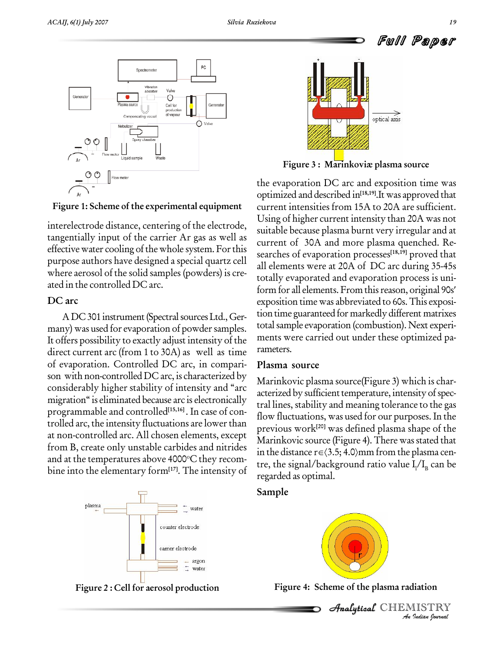

**Figure 1: Scheme of the experimental equipment**

interelectrode distance, centering of the electrode, tangentially input of the carrier Ar gas as well as effective water cooling of the whole system. For this purpose authors have designed a special quartz cell where aerosol of the solid samples (powders) is cre ated in the controlled DC arc.

## **DC arc**

ADC 301 instrument (Spectral sources Ltd., Germany) was used for evaporation of powder samples. It offers possibility to exactly adjust intensity of the direct current arc (from 1 to 30A) as well as time of evaporation. Controlled DC arc, in compari son with non-controlled DC arc, is characterized by considerably higher stability of intensity and "arc migration" is eliminated because arc is electronically programmable and controlled **[15,16]** . In case of con trolled arc, the intensity fluctuations are lower than at non-controlled arc. All chosen elements, except from B, create only unstable carbides and nitrides  $\frac{1}{2}$  in the distance  $r \in \langle 3.5; 4.0 \rangle$ mm from the plasma cenand at the temperatures above 4000°C they recombine into the elementary form**[17]**. The intensity of







**Figure 3 :** Marinkoviæ plasma source

the evaporation DC arc and exposition time was optimized and described in **[18,19]**.It was approved that current intensities from 15A to 20A are sufficient. Using of higher current intensity than 20A was not suitable because plasma burnt very irregular and at current of 30A and more plasma quenched. Re searches of evaporation processes **[18,19]** proved that all elements were at 20A of DC arc during 35-45s form for all elements. From thisreason, original 90s totally evaporated and evaporation process is uni exposition time was abbreviated to 60s.This exposi tiontime guaranteed for markedly different matrixes total sample evaporation (combustion). Next experiments were carried out under these optimized pa rameters.

## **Plasma source**

Marinkovic plasma source(Figure 3) which is characterized by sufficient temperature, intensity of spectral lines, stability and meaning tolerance to the gas flow fluctuations, was used for our purposes. In the previous work **[20]** was defined plasma shape of the Marinkovic source (Figure 4). There was stated that previous work<sup>[20]</sup> was defined plasma shape of the<br>Marinkovic source (Figure 4). There was stated that<br>in the distance r∈(3.5; 4.0)mm from the plasma centre, the signal/background ratio value I<sub>l</sub>/I<sub>B</sub> can be regarded as optimal.

## **Sample**



**Figure 2 :Cell for aerosol production Figure 4: Scheme of the plasma radiation**

 *Indian Journal* CHEMISTRY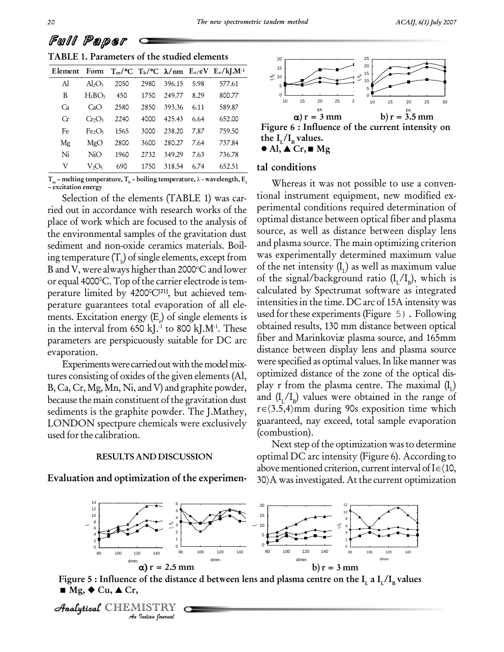|  | <i>ט שיש וע</i> ט ט שט ט |                                             |  |
|--|--------------------------|---------------------------------------------|--|
|  |                          | TABLE 1. Parameters of the studied elements |  |

| <b>TABLE 1. Parameters of the studied elements</b> |                                |      |      |        |      |                                                                      |
|----------------------------------------------------|--------------------------------|------|------|--------|------|----------------------------------------------------------------------|
| Element                                            | Form                           |      |      |        |      | $T_m$ /°C $T_b$ /°C $\lambda$ /nm $E_e/eV$ $E_e/kJ$ .M <sup>-1</sup> |
| Al                                                 | $Al_2O_3$                      | 2050 | 2980 | 396.15 | 5.98 | 577.61                                                               |
| B                                                  | $H_3BO_3$                      | 450  | 1750 | 249.77 | 8.29 | 800.77                                                               |
| Ca                                                 | CaO                            | 2580 | 2850 | 393.36 | 6.11 | 589.87                                                               |
| Cr                                                 | CrO <sub>3</sub>               | 2240 | 4000 | 425.43 | 6.64 | 652.00                                                               |
| Fe                                                 | Fe <sub>2</sub> O <sub>3</sub> | 1565 | 3000 | 238.20 | 7.87 | 759.50                                                               |
| Mg                                                 | MgO                            | 2800 | 3600 | 280.27 | 7.64 | 737.84                                                               |
| Ni                                                 | NiO                            | 1960 | 2732 | 349.29 | 7.63 | 736.78                                                               |
| V                                                  | $V_2O_5$                       | 690  | 1750 | 318.54 | 6.74 | 652.51                                                               |

**T**<sub>m</sub> – melting temperature,  $T_b$  – boiling temperature,  $\lambda$  - wavelength,  $E_e$  – excitation energy

Selection of the elements (TABLE 1) was car ried out in accordance with research works of the place of work which are focused to the analysis of the environmental samples of the gravitation dust sediment and non-oxide ceramics materials. Boil ing temperature  $(T_b)$  of single elements, except from was experiment B and V, were always higher than 2000°C and lower  $\circ$  <sup>of th</sup> or equal 4000°C. Top of the carrier electrode is tem-  $\,$  <sup>of</sup> perature limited by 4200 <sup>0</sup>C**[21]**, but achieved tem perature guarantees total evaporation of all ele ments. Excitation energy  $(E)$  of single elements is in the interval from 650 kJ.<sup>1</sup> to 800 kJ.M<sup>-1</sup>. These obtai parameters are perspicuously suitable for DC arc evaporation.

Experiments were carried out with the model mixtures consisting of oxides of the given elements (Al, B, Ca, Cr, Mg, Mn, Ni, and V) and graphite powder, because the main constituent of the gravitation dust and  $(L_L/L_p)$  values were obtained in the range of sediments is the graphite powder. The I Mathey  $r \in (3.5,4)$ mm during 90s exposition time which sediments is the graphite powder. The J.Mathey, LONDON spectpure chemicals were exclusively used for the calibration.

#### **RESULTS AND DISCUSSION**

**Evaluation and optimization of the experimen-**



the  $\mathbf{I}_{\rm L}/\mathbf{I}_{\rm B}$  value  $\bullet$  Al,  $\triangle$  Cr,  $\blacksquare$  Mg

#### **tal conditions**

Whereas it was not possible to use a conven tional instrument equipment, new modified ex perimental conditions required determination of optimal distance between optical fiber and plasma source, as well as distance between display lens and plasma source. The main optimizing criterion was experimentally determined maximum value of the net intensity  $(I_{\rm L})$  as well as maximum value of the signal/background ratio ( $I_{L}/I_{B}$ ), which is calculated by Spectrumat software as integrated intensities in the time. DC arc of 15A intensity was used for these experiments (Figure 5). Following obtained results, 130 mm distance between optical fiber and Marinkoviæ plasma source, and 165mm distance between display lens and plasma source were specified as optimal values.In like manner was optimized distance of the zone of the optical dis play r from the plasma centre. The maximal  $(\boldsymbol{\mathrm{I}}_{\text{L}})$ and  $(I_L/I_p)$  values were obtained in the range of play r from the plasma centre. The maximal  $(I_L)$ <br>and  $(I_L/I_p)$  values were obtained in the range of<br>r∈ $\langle 3.5,4\rangle$ mm during 90s exposition time which guaranteed, nay exceed, total sample evaporation (combustion).

Next step of the optimization wasto determine optimal DC arc intensity (Figure 6). According to Next step of the optimization was to determine<br>optimal DC arc intensity (Figure 6). According to<br>above mentioned criterion, current interval of  $I \in (10,$ optimal DC arc intensity (Figure 6). According to<br>above mentioned criterion, current interval of I∈{10,<br>30}A was investigated. At the current optimization



Figure 5 : Influence of the distance d between lens and plasma centre on the  $\rm I_{L}$  a  $\rm I_{L}/\rm I_{B}$  values



Full Paper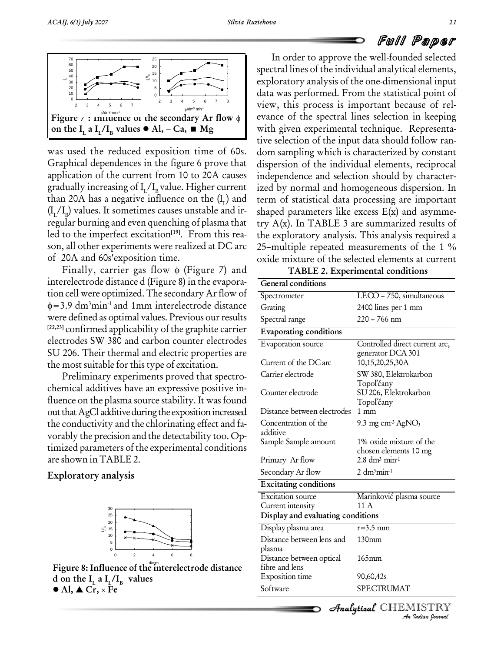# Full Paper



was used the reduced exposition time of 60s. Graphical dependences in the figure 6 prove that application of the current from 10 to 20A causes gradually increasing of  $I_{I}/I_{B}$  value. Higher current than 20A has a negative influence on the  $(I<sub>r</sub>)$  and  $(I_L/I_p)$  values. It sometimes causes unstable and ir-<br>shapes regular burning and even quenching of plasma that led to the imperfect excitation<sup>[19]</sup>. From this rea-<br>son, all other experiments were realized at DC arc 25-<br>of 20A and 60s'exposition time. oxide

of 20A and 60s' exposition time.<br>Finally, carrier gas flow  $\phi$  (Figure 7) and interelectrode distance d (Figure 8) in the evapora-  $\overline{G}$ tion cell were optimized. The secondary Arflow of  $=$  3.9 dm<sup>3</sup>min<sup>-1</sup> and 1mm interelectrode distance Grati were defined as optimal values. Previous our results **[22,23]** confirmed applicability of the graphite carrier electrodes SW 380 and carbon counter electrodes SU 206. Their thermal and electric properties are the most suitable forthis type of excitation.

Preliminary experiments proved that spectro chemical additives have an expressive positive in fluence on the plasma source stability. It was found out that AgCl additive during the exposition increased the conductivity and the chlorinating effect and fa vorably the precision and the detectability too. Op timized parameters of the experimental conditions are shown inTABLE 2.

## **Exploratory analysis**





) and term of statistical data processing are important son, all other experiments were realized at DC arc 25-multiple repeated measurements of the 1 % In order to approve the well-founded selected spectral lines of the individual analytical elements, exploratory analysis of the one-dimensional input data was performed. From the statistical point of view, this process is important because of rel evance of the spectral lines selection in keeping with given experimental technique. Representa tive selection of the input data should follow ran dom sampling which is characterized by constant dispersion of the individual elements, reciprocal independence and selection should by character ized by normal and homogeneous dispersion. In shaped parameters like excess  $E(x)$  and asymmetry A(x). In TABLE 3 are summarized results of the exploratory analysis. This analysis required a try A(x). In TABLE 3 are summarized results of<br>the exploratory analysis. This analysis required a<br>25-multiple repeated measurements of the 1 % oxide mixture of the selected elements at current

| TABLE 2. Experimental conditions |
|----------------------------------|
|----------------------------------|

| General conditions                |                                          |
|-----------------------------------|------------------------------------------|
| Spectrometer                      | $LECO - 750$ , simultaneous              |
| Grating                           | 2400 lines per 1 mm                      |
| Spectral range                    | $220 - 766$ nm                           |
| Evaporating conditions            |                                          |
| Evaporation source                | Controlled direct current arc,           |
|                                   | generator DCA 301                        |
| Current of the DC arc             | 10,15,20,25,30A                          |
| Carrier electrode                 | SW 380, Elektrokarbon                    |
|                                   | Topoľčany                                |
| Counter electrode                 | SU 206, Elektrokarbon                    |
| Distance between electrodes       | Topoľčany<br>$1 \text{ mm}$              |
| Concentration of the              | 9.3 mg cm <sup>3</sup> AgNO <sub>3</sub> |
| additive                          |                                          |
| Sample Sample amount              | 1% oxide mixture of the                  |
|                                   | chosen elements 10 mg                    |
| Primary Ar flow                   | $2.8 \text{ dm}^3 \text{ min}^{-1}$      |
| Secondary Ar flow                 | $2 \text{ dm}^3$ min <sup>-1</sup>       |
| <b>Excitating conditions</b>      |                                          |
| <b>Excitation</b> source          | Marinković plasma source                 |
| Current intensity                 | 11 A                                     |
| Display and evaluating conditions |                                          |
| Display plasma area               | $r=3.5$ mm                               |
| Distance between lens and         | 130 <sub>mm</sub>                        |
| plasma                            |                                          |
| Distance between optical          | $165 \text{mm}$                          |
| fibre and lens                    |                                          |
| Exposition time                   | 90,60,42s                                |
|                                   | SPECTRUMAT                               |

# CHEMISTRY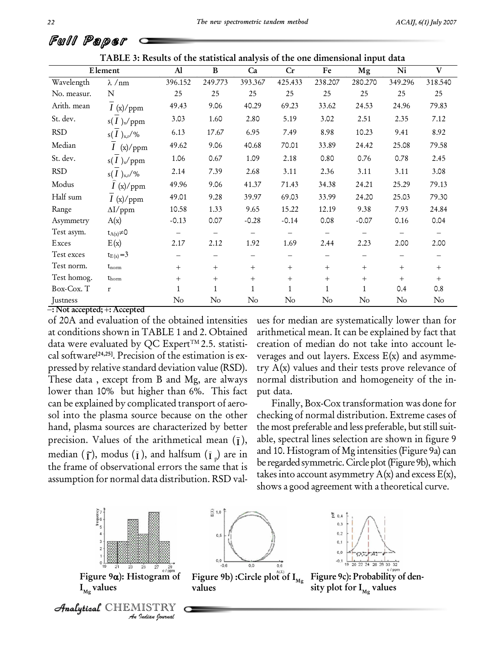|                                             | TTEDLL 9. KESURS OF THE STATISTICAL AHALYSIS OF THE OILE UNITEDSIONAL IMPUT GATA |                   |                          |                          |                        |                   |                   |                   |                   |
|---------------------------------------------|----------------------------------------------------------------------------------|-------------------|--------------------------|--------------------------|------------------------|-------------------|-------------------|-------------------|-------------------|
|                                             | Element                                                                          | Al                | B                        | Ca                       | Cr                     | Fe                | Mg                | Ni                | V                 |
| Wavelength                                  | $\lambda$ /nm                                                                    | 396.152           | 249.773                  | 393.367                  | 425.433                | 238.207           | 280.270           | 349.296           | 318.540           |
| No. measur.                                 | N                                                                                | 25                | 25                       | 25                       | 25                     | 25                | 25                | 25                | 25                |
| Arith. mean                                 | $I\ (\mathrm{x})/\mathrm{ppm}$                                                   | 49.43             | 9.06                     | 40.29                    | 69.23                  | 33.62             | 24.53             | 24.96             | 79.83             |
| St. dev.                                    | $s(I)_x$ /ppm                                                                    | 3.03              | 1.60                     | 2.80                     | 5.19                   | 3.02              | 2.51              | 2.35              | 7.12              |
| <b>RSD</b>                                  | $s(I)_{x,r}/\%$                                                                  | 6.13              | 17.67                    | 6.95                     | 7.49                   | 8.98              | 10.23             | 9.41              | 8.92              |
| Median                                      | I(x)/ppm                                                                         | 49.62             | 9.06                     | 40.68                    | 70.01                  | 33.89             | 24.42             | 25.08             | 79.58             |
| St. dev.                                    | $s(I)_x$ /ppm                                                                    | 1.06              | 0.67                     | 1.09                     | 2.18                   | 0.80              | 0.76              | 0.78              | 2.45              |
| <b>RSD</b>                                  | $s(I)_{x,r}/\%$                                                                  | 2.14              | 7.39                     | 2.68                     | 3.11                   | 2.36              | 3.11              | 3.11              | 3.08              |
| Modus                                       | I(x)/ppm                                                                         | 49.96             | 9.06                     | 41.37                    | 71.43                  | 34.38             | 24.21             | 25.29             | 79.13             |
| Half sum                                    | I(x)/ppm                                                                         | 49.01             | 9.28                     | 39.97                    | 69.03                  | 33.99             | 24.20             | 25.03             | 79.30             |
| Range                                       | $\Delta I$ /ppm                                                                  | 10.58             | 1.33                     | 9.65                     | 15.22                  | 12.19             | 9.38              | 7.93              | 24.84             |
| Asymmetry                                   | A(x)                                                                             | $-0.13$           | 0.07                     | $-0.28$                  | $-0.14$                | 0.08              | $-0.07$           | 0.16              | 0.04              |
| Test asym.                                  | $t_{A(x)}\neq 0$                                                                 | $\qquad \qquad -$ | $\overline{\phantom{0}}$ | $\overline{\phantom{0}}$ | $\qquad \qquad -$      | $\qquad \qquad -$ | $\qquad \qquad -$ | $\qquad \qquad -$ | $\qquad \qquad -$ |
| Exces                                       | E(x)                                                                             | 2.17              | 2.12                     | 1.92                     | 1.69                   | 2.44              | 2.23              | 2.00              | 2.00              |
| Test exces                                  | $t_{E(x)} = 3$                                                                   | -                 |                          |                          | $\qquad \qquad \qquad$ |                   | —                 |                   |                   |
| Test norm.                                  | $t_{norm}$                                                                       | $^{+}$            | $+$                      | $+$                      | $+$                    | $+$               | $^{+}$            | $+$               | $+$               |
| Test homog.                                 | $t_{\text{horm}}$                                                                | $^{+}$            | $+$                      | $^{+}$                   | $^{+}$                 | $+$               | $^{+}$            | $+$               | $+$               |
| Box-Cox. T                                  | $\mathbf r$                                                                      | 1                 | $\mathbf{1}$             |                          | $\mathbf{1}$           | $\mathbf{1}$      | $\mathbf{1}$      | 0.4               | 0.8               |
| Justness<br>$\overline{N}$ T $\overline{N}$ |                                                                                  | $\rm No$          | $\rm No$                 | No                       | $\rm No$               | No                | $\rm No$          | $\rm No$          | $\rm No$          |

**TABLE 3: Results of the statistical analysis of the one dimensional input data**

**: Not accepted; : Accepted**

of 20A and evaluation of the obtained intensities at conditions shown in TABLE 1 and 2. Obtained data were evaluated by QC Expert<sup>TM</sup> 2.5. statistical software **[24,25]**. Precision of the estimation is ex pressed by relative standard deviation value (RSD). These data , except from B and Mg, are always lower than 10% but higher than 6%. This fact can be explained by complicated transport of aero sol into the plasma source because on the other hand, plasma sources are characterized by better precision. Values of the arithmetical mean  $(\bar{I})$ , median  $(\tilde{\mathbf{I}})$ , modus  $(\tilde{\mathbf{I}})$ , and halfsum  $(\tilde{\mathbf{I}})$  are in and 10. the frame of observational errors the same that is assumption for normal data distribution. RSD val-

ues for median are systematically lower than for arithmetical mean. It can be explained by fact that creation of median do not take into account le verages and out layers. Excess  $E(x)$  and asymmetry  $A(x)$  values and their tests prove relevance of normal distribution and homogeneity of the in put data.

), able, spectral lines selection are shown in figure 9 Finally, Box-Cox transformation was done for checking of normal distribution. Extreme cases of the most preferable and less preferable, but still suitand 10. Histogram of Mg intensities (Figure 9a) can be regarded symmetric. Circle plot (Figure 9b), which takes into account asymmetry  $A(x)$  and excess  $E(x)$ , shows a good agreement with a theoretical curve.



Analytical CHEMISTRY

 $\frac{2}{10}$  1,0  $0, 5$ 





**Figure 9c): Probability of den-**  $\mathbf{s}$ **ity** plot for  $\mathbf{I}_{\mathrm{Mg}}$  values

Full Paper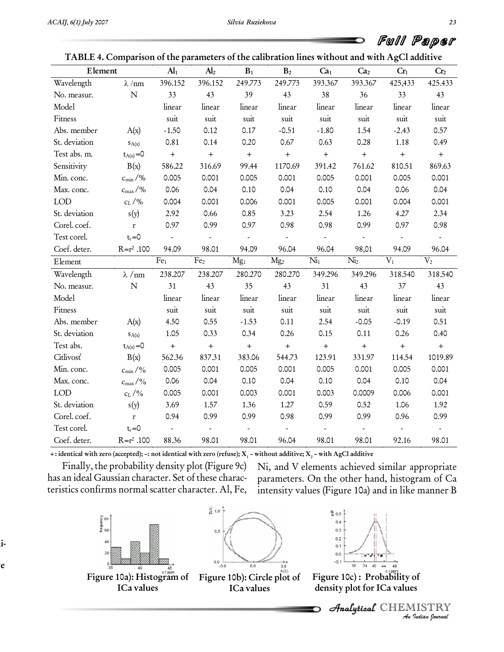| TABLE 4. Comparison of the parameters of the calibration lines without and with AgCl additive |                     |                  |                  |                   |                   |                            |                            |                          |                   |
|-----------------------------------------------------------------------------------------------|---------------------|------------------|------------------|-------------------|-------------------|----------------------------|----------------------------|--------------------------|-------------------|
| Element                                                                                       |                     | AI <sub>1</sub>  | Al <sub>2</sub>  | $\mathbf{B}_1$    | $\mathbf{B}_2$    | Ca <sub>1</sub>            | Ca <sub>2</sub>            | Cr <sub>1</sub>          | Cr <sub>2</sub>   |
| Wavelength                                                                                    | $\lambda$ /nm       | 396.152          | 396.152          | 249.773           | 249.773           | 393.367                    | 393.367                    | 425,433                  | 425.433           |
| No. measur.                                                                                   | $\mathbf N$         | 33               | 43               | 39                | 43                | 38                         | 36                         | 33                       | 43                |
| Model                                                                                         |                     | linear           | linear           | linear            | linear            | linear                     | linear                     | linear                   | linear            |
| Fitness                                                                                       |                     | suit             | suit             | suit              | suit              | suit                       | suit                       | suit                     | suit              |
| Abs. member                                                                                   | A(x)                | $-1.50$          | 0.12             | 0.17              | $-0.51$           | $-1.80$                    | 1.54                       | $-2.43$                  | 0.57              |
| St. deviation                                                                                 | SA(x)               | 0.81             | 0.14             | 0.20              | 0.67              | 0.63                       | 0.28                       | 1.18                     | 0.49              |
| Test abs. m.                                                                                  | $t_{A(x)} = 0$      | $\boldsymbol{+}$ | $\boldsymbol{+}$ | $\boldsymbol{+}$  | $\qquad \qquad +$ | $\qquad \qquad +$          | $\boldsymbol{+}$           | $\boldsymbol{+}$         | $\qquad \qquad +$ |
| Sensitivity                                                                                   | B(x)                | 586.22           | 316.69           | 99.44             | 1170.69           | 391.42                     | 761.62                     | 810.51                   | 869.63            |
| Min. conc.                                                                                    | $c_{\rm min}/\%$    | 0.005            | 0.001            | 0.005             | 0.001             | 0.005                      | 0.001                      | 0.005                    | 0.001             |
| Max. conc.                                                                                    | $c_{\text{max}}$ /% | 0.06             | 0.04             | 0.10              | 0.04              | 0.10                       | 0.04                       | 0.06                     | 0.04              |
| <b>LOD</b>                                                                                    | $c_L$ /%            | 0.004            | 0.001            | 0.006             | 0.001             | 0.005                      | 0.001                      | 0.004                    | 0.001             |
| St. deviation                                                                                 | s(y)                | 2.92             | 0.66             | 0.85              | 3.23              | 2.54                       | 1.26                       | 4.27                     | 2.34              |
| Corel. coef.                                                                                  | $\mathbf r$         | 0.97             | 0.99             | 0.97              | 0.98              | 0.98                       | 0.99                       | 0.97                     | 0.98              |
| Test corel.                                                                                   | $t_r = 0$           | $\blacksquare$   | $\blacksquare$   | $\blacksquare$    | $\blacksquare$    | $\overline{\phantom{a}}$   | $\mathbb{Z}^2$             | $\overline{\phantom{a}}$ | $\omega$          |
| Coef. deter.                                                                                  | $R = r^2 .100$      | 94.09            | 98.01            | 94.09             | 96.04             | 96.04                      | 98,01                      | 94.09                    | 96.04             |
| Element                                                                                       |                     | Fe <sub>1</sub>  | Fe <sub>2</sub>  | Mg <sub>1</sub>   | Mg <sub>2</sub>   | $\overline{\mathrm{Ni}}_1$ | $\overline{\mathrm{Ni}}_2$ | $V_1$                    | V <sub>2</sub>    |
| Wavelength                                                                                    | $\lambda$ /nm       | 238.207          | 238.207          | 280.270           | 280.270           | 349.296                    | 349.296                    | 318.540                  | 318.540           |
| No. measur.                                                                                   | $\mathbf N$         | 31               | 43               | 35                | 43                | 31                         | 43                         | 37                       | 43                |
| Model                                                                                         |                     | linear           | linear           | linear            | linear            | linear                     | linear                     | linear                   | linear            |
| Fitness                                                                                       |                     | suit             | suit             | suit              | suit              | suit                       | suit                       | suit                     | suit              |
| Abs. member                                                                                   | A(x)                | 4.50             | 0.55             | $-1.53$           | 0.11              | 2.54                       | $-0.05$                    | $-0.19$                  | 0.51              |
| St. deviation                                                                                 | SA(x)               | 1.05             | 0.33             | 0.34              | 0.26              | 0.15                       | 0.11                       | 0.26                     | 0.40              |
| Test abs.                                                                                     | $t_{A(x)} = 0$      | $\boldsymbol{+}$ | $\boldsymbol{+}$ | $\qquad \qquad +$ | $\boldsymbol{+}$  | $\boldsymbol{+}$           | $\boldsymbol{+}$           | $\boldsymbol{+}$         | $\boldsymbol{+}$  |
| Citlivosť                                                                                     | B(x)                | 562.36           | 837.31           | 383.06            | 544.73            | 123.91                     | 331.97                     | 114.54                   | 1019.89           |
| Min. conc.                                                                                    | $c_{\rm min}/\%$    | 0.005            | 0.001            | 0.005             | 0.001             | 0.005                      | 0.001                      | 0.005                    | 0.001             |
| Max. conc.                                                                                    | $c_{\rm max}/\%$    | 0.06             | 0.04             | 0.10              | 0.04              | 0.10                       | 0.04                       | 0.10                     | 0.04              |
| <b>LOD</b>                                                                                    | $c_L$ /%            | 0.005            | 0.001            | 0.003             | 0.001             | 0.003                      | 0.0009                     | 0.006                    | 0.001             |
| St. deviation                                                                                 | s(y)                | 3.69             | 1.57             | 1.36              | 1.27              | 0.59                       | 0.52                       | 1.06                     | 1.92              |
| Corel. coef.                                                                                  | $\bf r$             | 0.94             | 0.99             | 0.99              | 0.98              | 0.99                       | 0.99                       | 0.96                     | 0.99              |
| Test corel.                                                                                   | $t_r = 0$           | $\blacksquare$   | $\blacksquare$   | $\blacksquare$    | $\blacksquare$    | $\blacksquare$             | $\overline{\phantom{a}}$   | $\blacksquare$           | $\blacksquare$    |
| Coef. deter.                                                                                  | $R = r^2 .100$      | 88.36            | 98.01            | 98.01             | 96.04             | 98.01                      | 98.01                      | 92.16                    | 98.01             |

|  | TABLE 4. Comparison of the parameters of the calibration lines without and with AgCl additive |  |
|--|-----------------------------------------------------------------------------------------------|--|
|--|-----------------------------------------------------------------------------------------------|--|

+: identical with zero (accepted); -: not identical with zero (refuse);  $X_1$  - without additive;  $X_2$  - with AgCl additive

Finally, the probability density plot (Figure 9c) Ni, and V elements achieved similar appropriate has an ideal Gaussian character. Set of these charac-Finally, the probability density plot (Figure 9c) Ni, and V elements achieved similar appropriate<br>has an ideal Gaussian character. Set of these charac- parameters. On the other hand, histogram of Ca<br>teristics confi

frequency<br> $\frac{80}{2}$  $40$  $\overline{20}$ **Figure 10a): Histogram of ICa values**

**Figure. 11 Comparison of the influence of addi-**

**without AgCl additive, with AgCl additive**



**Figure 10b): Circle plot of ICa values**



parameters. On the other hand, histogram of Ca

intensity values (Figure 10a) and in like manner B

**Figure 10c) : Probability of density plot for ICa values**

 *Indian Journal* CHEMISTRY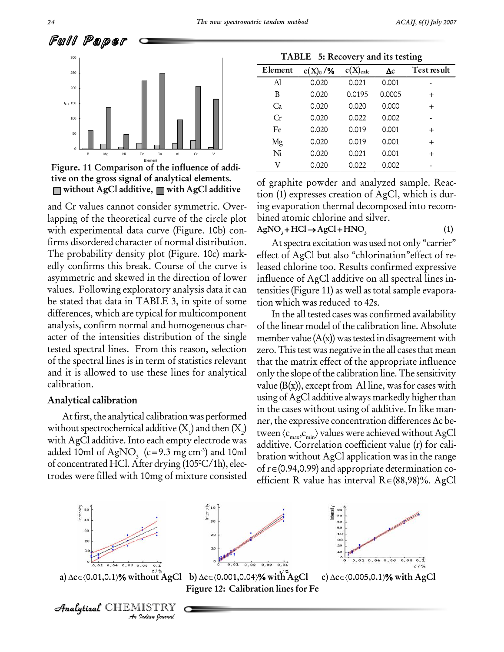



and Cr values cannot consider symmetric. Over lapping of the theoretical curve of the circle plot with experimental data curve (Figure. 10b) con-  $AgNO_3 + HCl \rightarrow AgCl + HNO_3$ firms disordered character of normal distribution. The probability density plot (Figure. 10c) mark edly confirms this break. Course of the curve is asymmetric and skewed in the direction of lower values. Following exploratory analysis data it can be stated that data in TABLE 3, in spite of some differences, which are typical for multicomponent analysis, confirm normal and homogeneous char acter of the intensities distribution of the single tested spectral lines. From this reason, selection of the spectral lines is in term of statistics relevant and it is allowed to use these lines for analytical calibration.

#### **Analytical calibration**

without spectrochemical additive  $(X_1)$  and then  $(X_2)$ with AgCl additive. Into each empty electrode was added 10ml of AgNO<sub>3</sub> (c=9.3 mg cm<sup>-3</sup>) and 10ml of concentrated HCl. After drying (105 $\degree$ C/1h), elec-

| TABLE 5: Recovery and its testing |               |               |            |             |  |  |  |
|-----------------------------------|---------------|---------------|------------|-------------|--|--|--|
| Element                           | $c(X)_{0}$ /% | $c(X)_{calc}$ | $\Delta c$ | Test result |  |  |  |
| Al                                | 0.020         | 0.021         | 0.001      |             |  |  |  |
| B                                 | 0.020         | 0.0195        | 0.0005     | $^{+}$      |  |  |  |
| Ca                                | 0.020         | 0.020         | 0.000      | $^{+}$      |  |  |  |
| Cr                                | 0.020         | 0.022         | 0.002      |             |  |  |  |
| Fe                                | 0.020         | 0.019         | 0.001      | $^{+}$      |  |  |  |
| Mg                                | 0.020         | 0.019         | 0.001      | $^{+}$      |  |  |  |
| Ni                                | 0.020         | 0.021         | 0.001      | $^{+}$      |  |  |  |
| V                                 | 0.020         | 0.022         | 0.002      |             |  |  |  |

of graphite powder and analyzed sample. Reac tion (1) expresses creation of AgCl, which is dur ing evaporation thermal decomposed into recom bined atomic chlorine and silver. Ing evaporation thermal decomposed into recombined atomic chlorine and silver.<br>AgNO<sub>3</sub> + HCl → AgCl + HNO<sub>3</sub> (1)

At spectra excitation was used not only "carrier" effect of AgCl but also "chlorination" effect of released chlorine too. Results confirmed expressive influence of AgCl additive on all spectral lines in-

tensities(Figure 11) as well as total sample evapora-

At first, the analytical calibration was performed ner, the expressive concentration differences  $\Delta c$  beof re(0.94,0.99) and appropriate determination cotrodes were filled with 10mg of mixture consisted efficient R value has interval  $R \in (88,98)$ %. AgCl tion which was reduced to 42s. In the all tested cases was confirmed availability of the linear model of the calibration line. Absolute member value  $(A(x))$  was tested in disagreement with zero. This test was negative in the all cases that mean that the matrix effect of the appropriate influence only the slope of the calibration line.The sensitivity value  $(B(x))$ , except from Al line, was for cases with using of AgCl additive always markedly higher than in the cases without using of additive. In like man using of AgCl additive always markedly higher than<br>in the cases without using of additive. In like man-<br>ner, the expressive concentration differences Ac bein the cases without using of additive. In like manner, the expressive concentration differences  $\Delta c$  between  $\langle c_{\text{max}}, c_{\text{min}} \rangle$  values were achieved without AgCl additive. Correlation coefficient value (r) for cali bration without AgCl application was in the range additive. Correlation coefficient value (r) for cali-<br>bration without AgCl application was in the range<br>of r = (0.94,0.99) and appropriate determination cobration without AgCl application was in the range<br>of r∈(0.94,0.99) and appropriate determination co-<br>efficient R value has interval R∈(88,98)%. AgCl

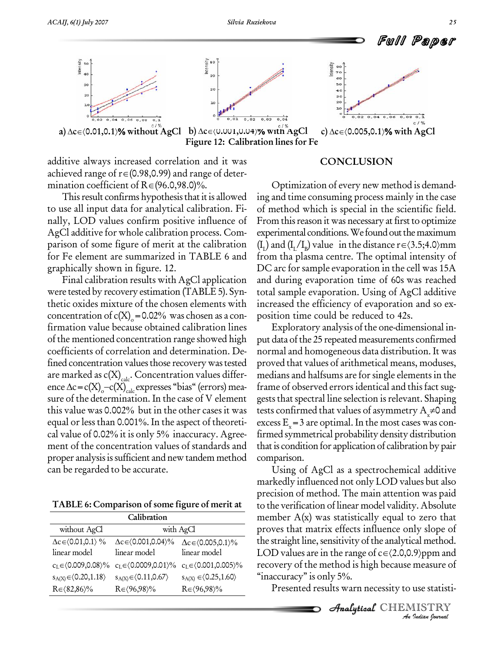

additive always increased correlation and it was additive always increased correlation and it was<br>achieved range of r∈(0.98,0.99) and range of deteradditive always increased correlation and it<br>achieved range of r∈(0.98,0.99) and range of o<br>mination coefficient of R∈(96.0,98.0)%.

This result confirms hypothesis that it is allowed to use all input data for analytical calibration. Fi nally, LOD values confirm positive influence of AgCl additive for whole calibration process. Com parison of some figure of merit at the calibration for Fe element are summarized in TABLE 6 and graphically shown in figure. 12.

Final calibration results with AgCl application were tested by recovery estimation (TABLE 5). Syn thetic oxides mixture of the chosen elements with concentration of  $c(X)_{o}$ =0.02% was chosen as a confirmation value because obtained calibration lines of the mentioned concentration range showed high coefficients of correlation and determination. De fined concentration values those recovery was tested are marked as  $c(X)_{calc}$ . Concentration values differfined concentration values those recovery was tested<br>are marked as c(X)<sub>calc</sub>. Concentration values differ-<br>ence  $\Delta c = c(X)_{c} - c(X)_{c}$  expresses "bias" (errors) meaence  $\Delta c = c(X)_{c} - c(X)_{calc}$  expresses "bias" (errors) mea- fran<br>sure of the determination. In the case of V element gest<br>this value was 0.002% but in the other cases it was test: sure of the determination. In the case of V element gests that spectral line selection is relevant. Shaping<br>this value was 0.002% but in the other cases it was tests confirmed that values of asymmetry  $A_x \neq 0$  and<br>equal cal value of 0.02% it is only 5% inaccuracy. Agreement of the concentration values of standards and proper analysis is sufficient and new tandem method can be regarded to be accurate.

**TABLE 6: Comparison of some figure of merit at**

|                                              | member                                                                             |                                                |            |
|----------------------------------------------|------------------------------------------------------------------------------------|------------------------------------------------|------------|
| without AgCl                                 |                                                                                    | with AgCl                                      | proves th  |
| $\Delta c \in (0.01, 0.1)$ %<br>linear model | $\Delta c \in (0.001, 0.04) \%$<br>linear model                                    | $\Delta c \in (0.005, 0.1) \%$<br>linear model | the straig |
|                                              |                                                                                    |                                                | LOD val    |
|                                              | $c_L \in (0.009, 0.08) \%$ $c_L \in (0.0009, 0.01) \%$ $c_L \in (0.001, 0.005) \%$ |                                                | recovery   |
| $s_{A(X)} \in \langle 0.20, 1.18 \rangle$    | $s_{A(X)} \in \langle 0.11, 0.67 \rangle$                                          | $s_{A(X)} \in \langle 0.25, 1.60 \rangle$      | "inaccura  |
| $R \in \langle 82, 86 \rangle\%$             | $R \in \langle 96, 98 \rangle\%$                                                   | $R \in \langle 96, 98 \rangle\%$               | Prese      |

#### **CONCLUSION**

Optimization of every new method is demand ing and time consuming process mainly in the case of method which is special in the scientific field. From this reason it was necessary at first to optimize experimental conditions. We found out the maximum From this reason it was necessary at first to optimize<br>experimental conditions. We found out the maximum<br>(I<sub>L</sub>) and (I<sub>L</sub>/I<sub>B</sub>) value in the distance r  $\in$  (3.5;4.0)mm from tha plasma centre. The optimal intensity of DC arc for sample evaporation in the cell was 15A and during evaporation time of 60s was reached total sample evaporation. Using of AgCl additive increased the efficiency of evaporation and so ex position time could be reduced to 42s.

Exploratory analysis of the one-dimensional in put data of the 25 repeated measurements confirmed normal and homogeneous data distribution. It was proved that values of arithmetical means, moduses, medians and halfsums are forsingle elements in the frame of observed errors identical and this fact suggests that spectral line selection is relevant. Shaping tests confirmed that values of asymmetry  $A_{\vec{x}}$  and gests that spectral line selection is relevant. Shaping firmed symmetrical probability density distribution that is condition for application of calibration by pair comparison.

<del>And any</del> of the analytic *I*<br>*P*/ppm and<br>measure of<br>use statisti-<br>IISTRY<br>*Indian Iournal* Using of AgCl as a spectrochemical additive markedly influenced not only LOD values but also precision of method. The main attention was paid to the verification of linear model validity. Absolute member  $A(x)$  was statistically equal to zero that proves that matrix effects influence only slope of<br>the straight line, sensitivity of the analytical method.<br>LOD values are in the range of c∈{2.0,0.9}ppm and the straight line, sensitivity of the analytical method. recovery of the method is high because measure of LOD values are in the range of<br>recovery of the method is hight<br>"inaccuracy" is only 5%.

Presented results warn necessity to use statisti-

**Analytical** CHEMISTRY